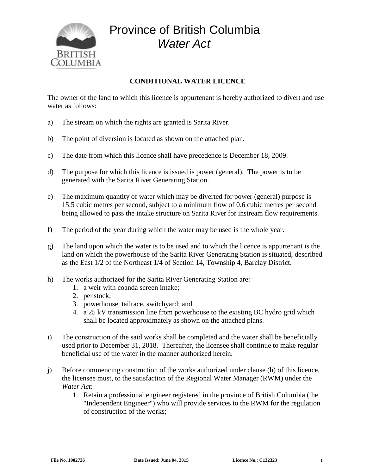

## Province of British Columbia *Water Act*

## **CONDITIONAL WATER LICENCE**

The owner of the land to which this licence is appurtenant is hereby authorized to divert and use water as follows:

- a) The stream on which the rights are granted is Sarita River.
- b) The point of diversion is located as shown on the attached plan.
- c) The date from which this licence shall have precedence is December 18, 2009.
- d) The purpose for which this licence is issued is power (general). The power is to be generated with the Sarita River Generating Station.
- e) The maximum quantity of water which may be diverted for power (general) purpose is 15.5 cubic metres per second, subject to a minimum flow of 0.6 cubic metres per second being allowed to pass the intake structure on Sarita River for instream flow requirements.
- f) The period of the year during which the water may be used is the whole year.
- g) The land upon which the water is to be used and to which the licence is appurtenant is the land on which the powerhouse of the Sarita River Generating Station is situated, described as the East 1/2 of the Northeast 1/4 of Section 14, Township 4, Barclay District.
- h) The works authorized for the Sarita River Generating Station are:
	- 1. a weir with coanda screen intake;
	- 2. penstock;
	- 3. powerhouse, tailrace, switchyard; and
	- 4. a 25 kV transmission line from powerhouse to the existing BC hydro grid which shall be located approximately as shown on the attached plans.
- i) The construction of the said works shall be completed and the water shall be beneficially used prior to December 31, 2018. Thereafter, the licensee shall continue to make regular beneficial use of the water in the manner authorized herein.
- j) Before commencing construction of the works authorized under clause (h) of this licence, the licensee must, to the satisfaction of the Regional Water Manager (RWM) under the *Water Act*:
	- 1. Retain a professional engineer registered in the province of British Columbia (the "Independent Engineer") who will provide services to the RWM for the regulation of construction of the works;